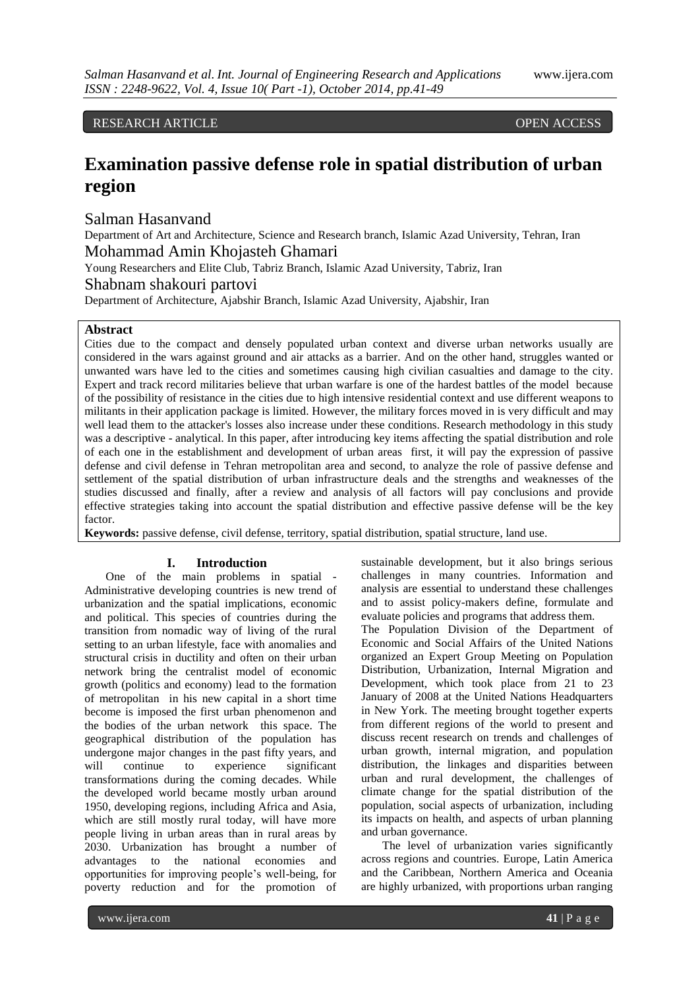RESEARCH ARTICLE OPEN ACCESS

# **Examination passive defense role in spatial distribution of urban region**

Salman Hasanvand

Department of Art and Architecture, Science and Research branch, Islamic Azad University, Tehran, Iran Mohammad Amin Khojasteh Ghamari

Young Researchers and Elite Club, Tabriz Branch, Islamic Azad University, Tabriz, Iran

Shabnam shakouri partovi

Department of Architecture, Ajabshir Branch, Islamic Azad University, Ajabshir, Iran

# **Abstract**

Cities due to the compact and densely populated urban context and diverse urban networks usually are considered in the wars against ground and air attacks as a barrier. And on the other hand, struggles wanted or unwanted wars have led to the cities and sometimes causing high civilian casualties and damage to the city. Expert and track record militaries believe that urban warfare is one of the hardest battles of the model because of the possibility of resistance in the cities due to high intensive residential context and use different weapons to militants in their application package is limited. However, the military forces moved in is very difficult and may well lead them to the attacker's losses also increase under these conditions. Research methodology in this study was a descriptive - analytical. In this paper, after introducing key items affecting the spatial distribution and role of each one in the establishment and development of urban areas first, it will pay the expression of passive defense and civil defense in Tehran metropolitan area and second, to analyze the role of passive defense and settlement of the spatial distribution of urban infrastructure deals and the strengths and weaknesses of the studies discussed and finally, after a review and analysis of all factors will pay conclusions and provide effective strategies taking into account the spatial distribution and effective passive defense will be the key factor.

**Keywords:** passive defense, civil defense, territory, spatial distribution, spatial structure, land use.

### **I. Introduction**

One of the main problems in spatial - Administrative developing countries is new trend of urbanization and the spatial implications, economic and political. This species of countries during the transition from nomadic way of living of the rural setting to an urban lifestyle, face with anomalies and structural crisis in ductility and often on their urban network bring the centralist model of economic growth (politics and economy) lead to the formation of metropolitan in his new capital in a short time become is imposed the first urban phenomenon and the bodies of the urban network this space. The geographical distribution of the population has undergone major changes in the past fifty years, and will continue to experience significant transformations during the coming decades. While the developed world became mostly urban around 1950, developing regions, including Africa and Asia, which are still mostly rural today, will have more people living in urban areas than in rural areas by 2030. Urbanization has brought a number of advantages to the national economies and opportunities for improving people's well-being, for poverty reduction and for the promotion of

sustainable development, but it also brings serious challenges in many countries. Information and analysis are essential to understand these challenges and to assist policy-makers define, formulate and evaluate policies and programs that address them.

The Population Division of the Department of Economic and Social Affairs of the United Nations organized an Expert Group Meeting on Population Distribution, Urbanization, Internal Migration and Development, which took place from 21 to 23 January of 2008 at the United Nations Headquarters in New York. The meeting brought together experts from different regions of the world to present and discuss recent research on trends and challenges of urban growth, internal migration, and population distribution, the linkages and disparities between urban and rural development, the challenges of climate change for the spatial distribution of the population, social aspects of urbanization, including its impacts on health, and aspects of urban planning and urban governance.

The level of urbanization varies significantly across regions and countries. Europe, Latin America and the Caribbean, Northern America and Oceania are highly urbanized, with proportions urban ranging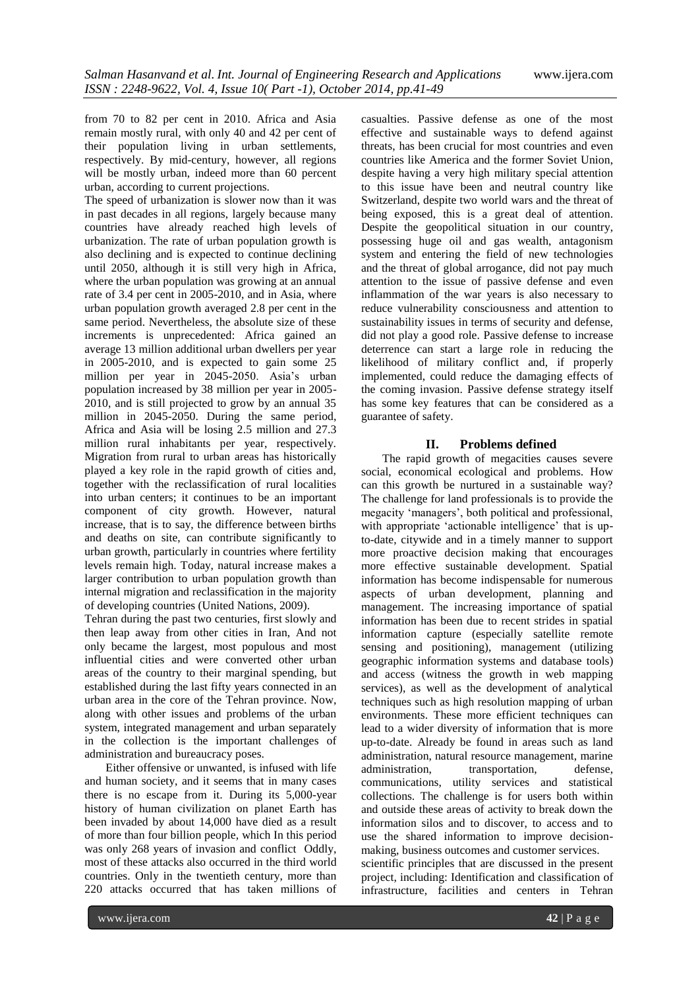from 70 to 82 per cent in 2010. Africa and Asia remain mostly rural, with only 40 and 42 per cent of their population living in urban settlements, respectively. By mid-century, however, all regions will be mostly urban, indeed more than 60 percent urban, according to current projections.

The speed of urbanization is slower now than it was in past decades in all regions, largely because many countries have already reached high levels of urbanization. The rate of urban population growth is also declining and is expected to continue declining until 2050, although it is still very high in Africa, where the urban population was growing at an annual rate of 3.4 per cent in 2005-2010, and in Asia, where urban population growth averaged 2.8 per cent in the same period. Nevertheless, the absolute size of these increments is unprecedented: Africa gained an average 13 million additional urban dwellers per year in 2005-2010, and is expected to gain some 25 million per year in 2045-2050. Asia's urban population increased by 38 million per year in 2005- 2010, and is still projected to grow by an annual 35 million in 2045-2050. During the same period, Africa and Asia will be losing 2.5 million and 27.3 million rural inhabitants per year, respectively. Migration from rural to urban areas has historically played a key role in the rapid growth of cities and, together with the reclassification of rural localities into urban centers; it continues to be an important component of city growth. However, natural increase, that is to say, the difference between births and deaths on site, can contribute significantly to urban growth, particularly in countries where fertility levels remain high. Today, natural increase makes a larger contribution to urban population growth than internal migration and reclassification in the majority of developing countries (United Nations, 2009).

Tehran during the past two centuries, first slowly and then leap away from other cities in Iran, And not only became the largest, most populous and most influential cities and were converted other urban areas of the country to their marginal spending, but established during the last fifty years connected in an urban area in the core of the Tehran province. Now, along with other issues and problems of the urban system, integrated management and urban separately in the collection is the important challenges of administration and bureaucracy poses.

Either offensive or unwanted, is infused with life and human society, and it seems that in many cases there is no escape from it. During its 5,000-year history of human civilization on planet Earth has been invaded by about 14,000 have died as a result of more than four billion people, which In this period was only 268 years of invasion and conflict Oddly, most of these attacks also occurred in the third world countries. Only in the twentieth century, more than 220 attacks occurred that has taken millions of

casualties. Passive defense as one of the most effective and sustainable ways to defend against threats, has been crucial for most countries and even countries like America and the former Soviet Union, despite having a very high military special attention to this issue have been and neutral country like Switzerland, despite two world wars and the threat of being exposed, this is a great deal of attention. Despite the geopolitical situation in our country, possessing huge oil and gas wealth, antagonism system and entering the field of new technologies and the threat of global arrogance, did not pay much attention to the issue of passive defense and even inflammation of the war years is also necessary to reduce vulnerability consciousness and attention to sustainability issues in terms of security and defense, did not play a good role. Passive defense to increase deterrence can start a large role in reducing the likelihood of military conflict and, if properly implemented, could reduce the damaging effects of the coming invasion. Passive defense strategy itself has some key features that can be considered as a guarantee of safety.

# **II. Problems defined**

The rapid growth of megacities causes severe social, economical ecological and problems. How can this growth be nurtured in a sustainable way? The challenge for land professionals is to provide the megacity 'managers', both political and professional, with appropriate 'actionable intelligence' that is upto-date, citywide and in a timely manner to support more proactive decision making that encourages more effective sustainable development. Spatial information has become indispensable for numerous aspects of urban development, planning and management. The increasing importance of spatial information has been due to recent strides in spatial information capture (especially satellite remote sensing and positioning), management (utilizing geographic information systems and database tools) and access (witness the growth in web mapping services), as well as the development of analytical techniques such as high resolution mapping of urban environments. These more efficient techniques can lead to a wider diversity of information that is more up-to-date. Already be found in areas such as land administration, natural resource management, marine administration, transportation, defense, communications, utility services and statistical collections. The challenge is for users both within and outside these areas of activity to break down the information silos and to discover, to access and to use the shared information to improve decisionmaking, business outcomes and customer services. scientific principles that are discussed in the present

project, including: Identification and classification of infrastructure, facilities and centers in Tehran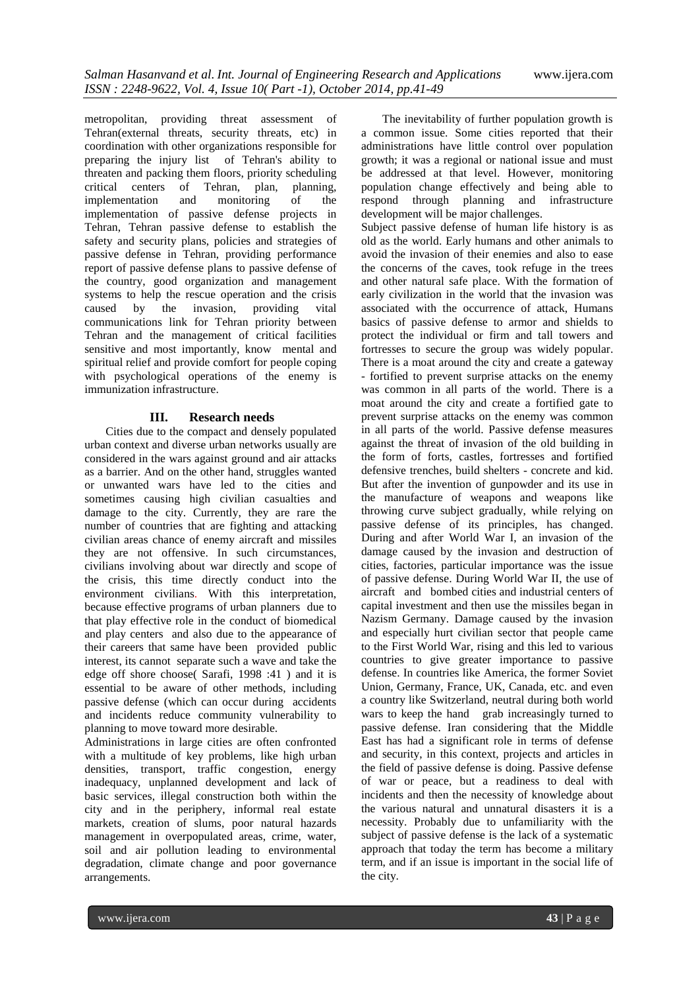metropolitan, providing threat assessment of Tehran(external threats, security threats, etc) in coordination with other organizations responsible for preparing the injury list of Tehran's ability to threaten and packing them floors, priority scheduling critical centers of Tehran, plan, planning, implementation and monitoring of the implementation of passive defense projects in Tehran, Tehran passive defense to establish the safety and security plans, policies and strategies of passive defense in Tehran, providing performance report of passive defense plans to passive defense of the country, good organization and management systems to help the rescue operation and the crisis caused by the invasion, providing vital communications link for Tehran priority between Tehran and the management of critical facilities sensitive and most importantly, know mental and spiritual relief and provide comfort for people coping with psychological operations of the enemy is immunization infrastructure.

### **III. Research needs**

Cities due to the compact and densely populated urban context and diverse urban networks usually are considered in the wars against ground and air attacks as a barrier. And on the other hand, struggles wanted or unwanted wars have led to the cities and sometimes causing high civilian casualties and damage to the city. Currently, they are rare the number of countries that are fighting and attacking civilian areas chance of enemy aircraft and missiles they are not offensive. In such circumstances, civilians involving about war directly and scope of the crisis, this time directly conduct into the environment civilians. With this interpretation, because effective programs of urban planners due to that play effective role in the conduct of biomedical and play centers and also due to the appearance of their careers that same have been provided public interest, its cannot separate such a wave and take the edge off shore choose( Sarafi, 1998 :41 ) and it is essential to be aware of other methods, including passive defense (which can occur during accidents and incidents reduce community vulnerability to planning to move toward more desirable.

Administrations in large cities are often confronted with a multitude of key problems, like high urban densities, transport, traffic congestion, energy inadequacy, unplanned development and lack of basic services, illegal construction both within the city and in the periphery, informal real estate markets, creation of slums, poor natural hazards management in overpopulated areas, crime, water, soil and air pollution leading to environmental degradation, climate change and poor governance arrangements.

The inevitability of further population growth is a common issue. Some cities reported that their administrations have little control over population growth; it was a regional or national issue and must be addressed at that level. However, monitoring population change effectively and being able to respond through planning and infrastructure development will be major challenges.

Subject passive defense of human life history is as old as the world. Early humans and other animals to avoid the invasion of their enemies and also to ease the concerns of the caves, took refuge in the trees and other natural safe place. With the formation of early civilization in the world that the invasion was associated with the occurrence of attack, Humans basics of passive defense to armor and shields to protect the individual or firm and tall towers and fortresses to secure the group was widely popular. There is a moat around the city and create a gateway - fortified to prevent surprise attacks on the enemy was common in all parts of the world. There is a moat around the city and create a fortified gate to prevent surprise attacks on the enemy was common in all parts of the world. Passive defense measures against the threat of invasion of the old building in the form of forts, castles, fortresses and fortified defensive trenches, build shelters - concrete and kid. But after the invention of gunpowder and its use in the manufacture of weapons and weapons like throwing curve subject gradually, while relying on passive defense of its principles, has changed. During and after World War I, an invasion of the damage caused by the invasion and destruction of cities, factories, particular importance was the issue of passive defense. During World War II, the use of aircraft and bombed cities and industrial centers of capital investment and then use the missiles began in Nazism Germany. Damage caused by the invasion and especially hurt civilian sector that people came to the First World War, rising and this led to various countries to give greater importance to passive defense. In countries like America, the former Soviet Union, Germany, France, UK, Canada, etc. and even a country like Switzerland, neutral during both world wars to keep the hand grab increasingly turned to passive defense. Iran considering that the Middle East has had a significant role in terms of defense and security, in this context, projects and articles in the field of passive defense is doing. Passive defense of war or peace, but a readiness to deal with incidents and then the necessity of knowledge about the various natural and unnatural disasters it is a necessity. Probably due to unfamiliarity with the subject of passive defense is the lack of a systematic approach that today the term has become a military term, and if an issue is important in the social life of the city.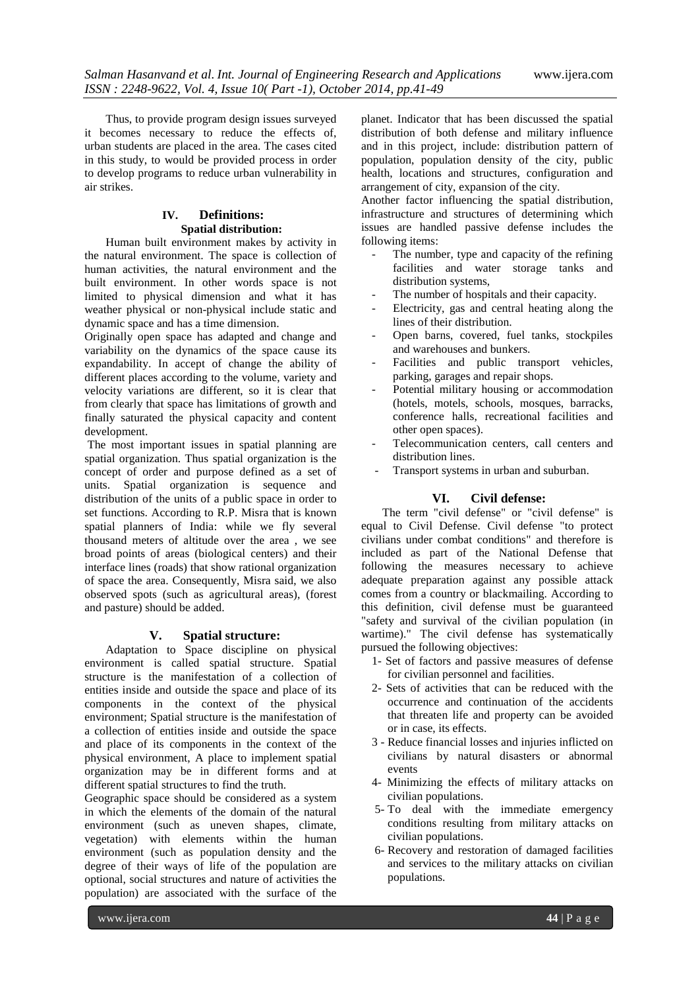Thus, to provide program design issues surveyed it becomes necessary to reduce the effects of, urban students are placed in the area. The cases cited in this study, to would be provided process in order to develop programs to reduce urban vulnerability in air strikes.

# **IV. Definitions: Spatial distribution:**

Human built environment makes by activity in the natural environment. The space is collection of human activities, the natural environment and the built environment. In other words space is not limited to physical dimension and what it has weather physical or non-physical include static and dynamic space and has a time dimension.

Originally open space has adapted and change and variability on the dynamics of the space cause its expandability. In accept of change the ability of different places according to the volume, variety and velocity variations are different, so it is clear that from clearly that space has limitations of growth and finally saturated the physical capacity and content development.

The most important issues in spatial planning are spatial organization. Thus spatial organization is the concept of order and purpose defined as a set of units. Spatial organization is sequence and distribution of the units of a public space in order to set functions. According to R.P. Misra that is known spatial planners of India: while we fly several thousand meters of altitude over the area , we see broad points of areas (biological centers) and their interface lines (roads) that show rational organization of space the area. Consequently, Misra said, we also observed spots (such as agricultural areas), (forest and pasture) should be added.

### **V. Spatial structure:**

Adaptation to Space discipline on physical environment is called spatial structure. Spatial structure is the manifestation of a collection of entities inside and outside the space and place of its components in the context of the physical environment; Spatial structure is the manifestation of a collection of entities inside and outside the space and place of its components in the context of the physical environment, A place to implement spatial organization may be in different forms and at different spatial structures to find the truth.

Geographic space should be considered as a system in which the elements of the domain of the natural environment (such as uneven shapes, climate, vegetation) with elements within the human environment (such as population density and the degree of their ways of life of the population are optional, social structures and nature of activities the population) are associated with the surface of the

planet. Indicator that has been discussed the spatial distribution of both defense and military influence and in this project, include: distribution pattern of population, population density of the city, public health, locations and structures, configuration and arrangement of city, expansion of the city.

Another factor influencing the spatial distribution, infrastructure and structures of determining which issues are handled passive defense includes the following items:

- The number, type and capacity of the refining facilities and water storage tanks and distribution systems,
- The number of hospitals and their capacity.
- Electricity, gas and central heating along the lines of their distribution.
- Open barns, covered, fuel tanks, stockpiles and warehouses and bunkers.
- Facilities and public transport vehicles, parking, garages and repair shops.
- Potential military housing or accommodation (hotels, motels, schools, mosques, barracks, conference halls, recreational facilities and other open spaces).
- Telecommunication centers, call centers and distribution lines.
- Transport systems in urban and suburban.

# **VI. Civil defense:**

The term "civil defense" or "civil defense" is equal to Civil Defense. Civil defense "to protect civilians under combat conditions" and therefore is included as part of the National Defense that following the measures necessary to achieve adequate preparation against any possible attack comes from a country or blackmailing. According to this definition, civil defense must be guaranteed "safety and survival of the civilian population (in wartime)." The civil defense has systematically pursued the following objectives:

- 1- Set of factors and passive measures of defense for civilian personnel and facilities.
- 2- Sets of activities that can be reduced with the occurrence and continuation of the accidents that threaten life and property can be avoided or in case, its effects.
- 3 Reduce financial losses and injuries inflicted on civilians by natural disasters or abnormal events
- 4- Minimizing the effects of military attacks on civilian populations.
- 5- To deal with the immediate emergency conditions resulting from military attacks on civilian populations.
- 6- Recovery and restoration of damaged facilities and services to the military attacks on civilian populations.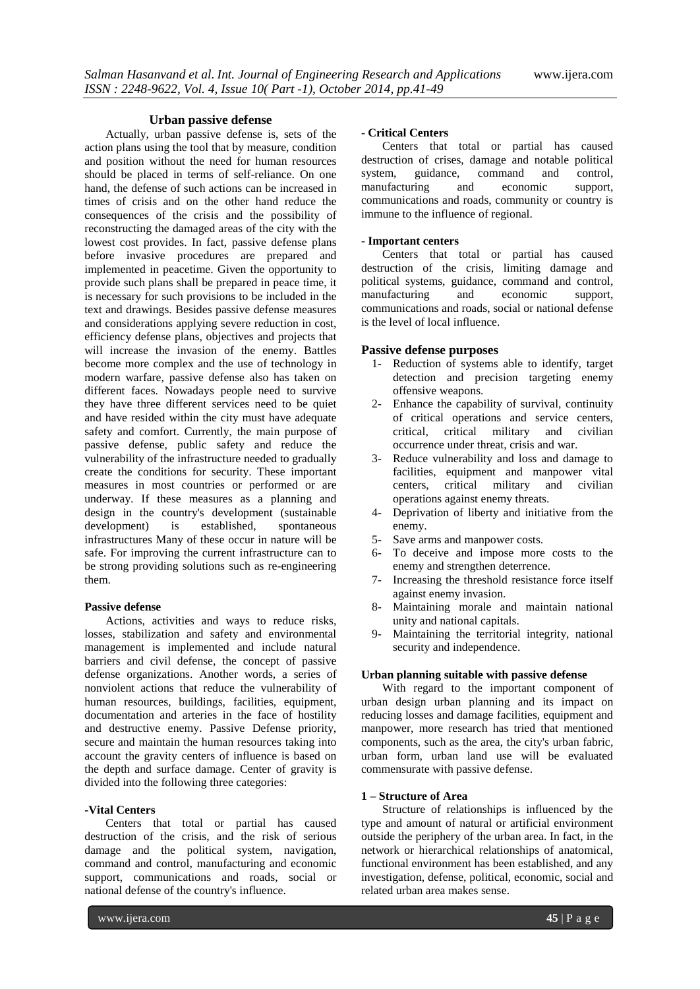### **Urban passive defense**

Actually, urban passive defense is, sets of the action plans using the tool that by measure, condition and position without the need for human resources should be placed in terms of self-reliance. On one hand, the defense of such actions can be increased in times of crisis and on the other hand reduce the consequences of the crisis and the possibility of reconstructing the damaged areas of the city with the lowest cost provides. In fact, passive defense plans before invasive procedures are prepared and implemented in peacetime. Given the opportunity to provide such plans shall be prepared in peace time, it is necessary for such provisions to be included in the text and drawings. Besides passive defense measures and considerations applying severe reduction in cost, efficiency defense plans, objectives and projects that will increase the invasion of the enemy. Battles become more complex and the use of technology in modern warfare, passive defense also has taken on different faces. Nowadays people need to survive they have three different services need to be quiet and have resided within the city must have adequate safety and comfort. Currently, the main purpose of passive defense, public safety and reduce the vulnerability of the infrastructure needed to gradually create the conditions for security. These important measures in most countries or performed or are underway. If these measures as a planning and design in the country's development (sustainable development) is established, spontaneous infrastructures Many of these occur in nature will be safe. For improving the current infrastructure can to be strong providing solutions such as re-engineering them.

#### **Passive defense**

Actions, activities and ways to reduce risks, losses, stabilization and safety and environmental management is implemented and include natural barriers and civil defense, the concept of passive defense organizations. Another words, a series of nonviolent actions that reduce the vulnerability of human resources, buildings, facilities, equipment, documentation and arteries in the face of hostility and destructive enemy. Passive Defense priority, secure and maintain the human resources taking into account the gravity centers of influence is based on the depth and surface damage. Center of gravity is divided into the following three categories:

#### **-Vital Centers**

Centers that total or partial has caused destruction of the crisis, and the risk of serious damage and the political system, navigation, command and control, manufacturing and economic support, communications and roads, social or national defense of the country's influence.

#### - **Critical Centers**

Centers that total or partial has caused destruction of crises, damage and notable political<br>system, guidance, command and control, system, guidance, command and control,<br>manufacturing and economic support, manufacturing and economic communications and roads, community or country is immune to the influence of regional.

#### - **Important centers**

Centers that total or partial has caused destruction of the crisis, limiting damage and political systems, guidance, command and control, manufacturing and economic support, communications and roads, social or national defense is the level of local influence.

### **Passive defense purposes**

- 1- Reduction of systems able to identify, target detection and precision targeting enemy offensive weapons.
- 2- Enhance the capability of survival, continuity of critical operations and service centers, critical, critical military and civilian occurrence under threat, crisis and war.
- 3- Reduce vulnerability and loss and damage to facilities, equipment and manpower vital centers, critical military and civilian operations against enemy threats.
- 4- Deprivation of liberty and initiative from the enemy.
- 5- Save arms and manpower costs.
- 6- To deceive and impose more costs to the enemy and strengthen deterrence.
- 7- Increasing the threshold resistance force itself against enemy invasion.
- 8- Maintaining morale and maintain national unity and national capitals.
- 9- Maintaining the territorial integrity, national security and independence.

#### **Urban planning suitable with passive defense**

With regard to the important component of urban design urban planning and its impact on reducing losses and damage facilities, equipment and manpower, more research has tried that mentioned components, such as the area, the city's urban fabric, urban form, urban land use will be evaluated commensurate with passive defense.

### **1 – Structure of Area**

Structure of relationships is influenced by the type and amount of natural or artificial environment outside the periphery of the urban area. In fact, in the network or hierarchical relationships of anatomical, functional environment has been established, and any investigation, defense, political, economic, social and related urban area makes sense.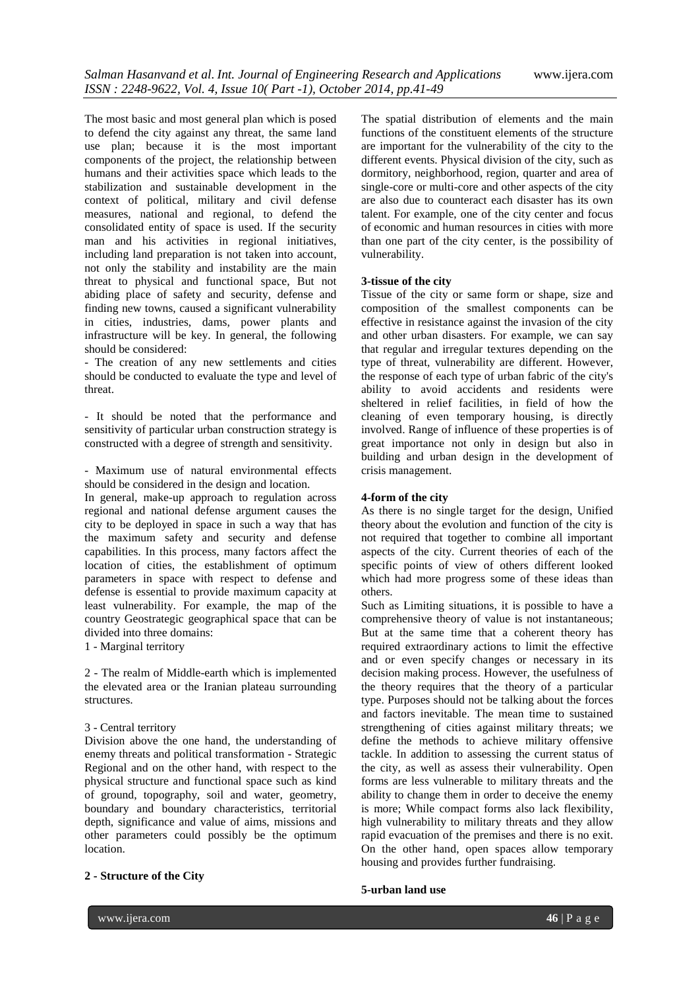The most basic and most general plan which is posed to defend the city against any threat, the same land use plan; because it is the most important components of the project, the relationship between humans and their activities space which leads to the stabilization and sustainable development in the context of political, military and civil defense measures, national and regional, to defend the consolidated entity of space is used. If the security man and his activities in regional initiatives, including land preparation is not taken into account, not only the stability and instability are the main threat to physical and functional space, But not abiding place of safety and security, defense and finding new towns, caused a significant vulnerability in cities, industries, dams, power plants and infrastructure will be key. In general, the following should be considered:

- The creation of any new settlements and cities should be conducted to evaluate the type and level of threat.

- It should be noted that the performance and sensitivity of particular urban construction strategy is constructed with a degree of strength and sensitivity.

- Maximum use of natural environmental effects should be considered in the design and location.

In general, make-up approach to regulation across regional and national defense argument causes the city to be deployed in space in such a way that has the maximum safety and security and defense capabilities. In this process, many factors affect the location of cities, the establishment of optimum parameters in space with respect to defense and defense is essential to provide maximum capacity at least vulnerability. For example, the map of the country Geostrategic geographical space that can be divided into three domains:

1 - Marginal territory

2 - The realm of Middle-earth which is implemented the elevated area or the Iranian plateau surrounding structures.

#### 3 - Central territory

Division above the one hand, the understanding of enemy threats and political transformation - Strategic Regional and on the other hand, with respect to the physical structure and functional space such as kind of ground, topography, soil and water, geometry, boundary and boundary characteristics, territorial depth, significance and value of aims, missions and other parameters could possibly be the optimum location.

#### **2 - Structure of the City**

The spatial distribution of elements and the main functions of the constituent elements of the structure are important for the vulnerability of the city to the different events. Physical division of the city, such as dormitory, neighborhood, region, quarter and area of single-core or multi-core and other aspects of the city are also due to counteract each disaster has its own talent. For example, one of the city center and focus of economic and human resources in cities with more than one part of the city center, is the possibility of vulnerability.

### **3-tissue of the city**

Tissue of the city or same form or shape, size and composition of the smallest components can be effective in resistance against the invasion of the city and other urban disasters. For example, we can say that regular and irregular textures depending on the type of threat, vulnerability are different. However, the response of each type of urban fabric of the city's ability to avoid accidents and residents were sheltered in relief facilities, in field of how the cleaning of even temporary housing, is directly involved. Range of influence of these properties is of great importance not only in design but also in building and urban design in the development of crisis management.

## **4-form of the city**

As there is no single target for the design, Unified theory about the evolution and function of the city is not required that together to combine all important aspects of the city. Current theories of each of the specific points of view of others different looked which had more progress some of these ideas than others.

Such as Limiting situations, it is possible to have a comprehensive theory of value is not instantaneous; But at the same time that a coherent theory has required extraordinary actions to limit the effective and or even specify changes or necessary in its decision making process. However, the usefulness of the theory requires that the theory of a particular type. Purposes should not be talking about the forces and factors inevitable. The mean time to sustained strengthening of cities against military threats; we define the methods to achieve military offensive tackle. In addition to assessing the current status of the city, as well as assess their vulnerability. Open forms are less vulnerable to military threats and the ability to change them in order to deceive the enemy is more; While compact forms also lack flexibility, high vulnerability to military threats and they allow rapid evacuation of the premises and there is no exit. On the other hand, open spaces allow temporary housing and provides further fundraising.

### **5-urban land use**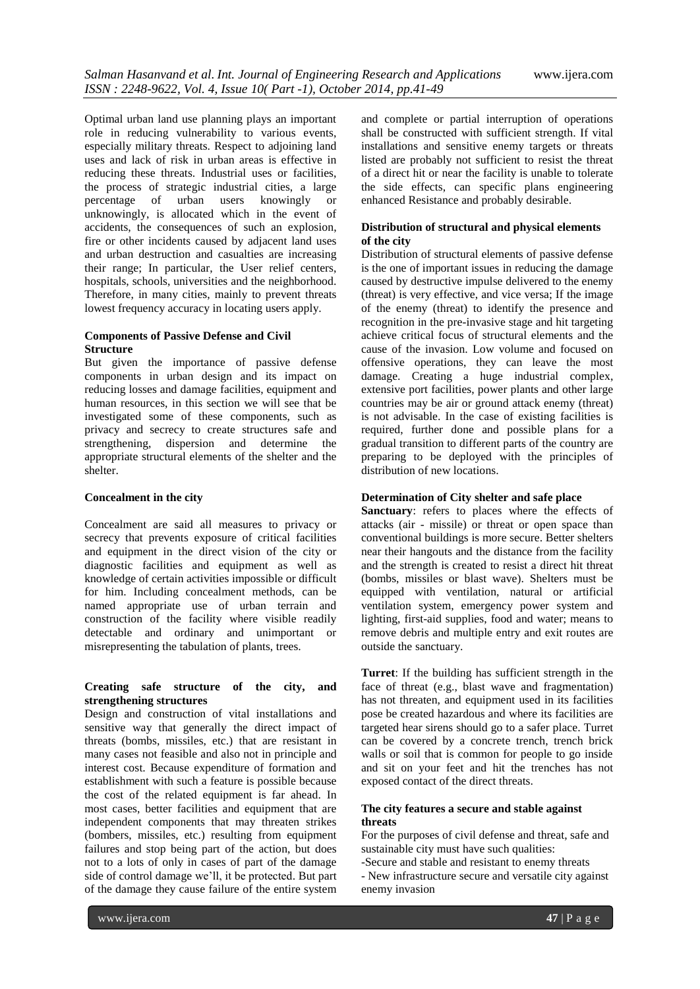Optimal urban land use planning plays an important role in reducing vulnerability to various events, especially military threats. Respect to adjoining land uses and lack of risk in urban areas is effective in reducing these threats. Industrial uses or facilities, the process of strategic industrial cities, a large percentage of urban users knowingly or unknowingly, is allocated which in the event of accidents, the consequences of such an explosion, fire or other incidents caused by adjacent land uses and urban destruction and casualties are increasing their range; In particular, the User relief centers, hospitals, schools, universities and the neighborhood. Therefore, in many cities, mainly to prevent threats lowest frequency accuracy in locating users apply.

## **Components of Passive Defense and Civil Structure**

But given the importance of passive defense components in urban design and its impact on reducing losses and damage facilities, equipment and human resources, in this section we will see that be investigated some of these components, such as privacy and secrecy to create structures safe and strengthening, dispersion and determine the appropriate structural elements of the shelter and the shelter.

# **Concealment in the city**

Concealment are said all measures to privacy or secrecy that prevents exposure of critical facilities and equipment in the direct vision of the city or diagnostic facilities and equipment as well as knowledge of certain activities impossible or difficult for him. Including concealment methods, can be named appropriate use of urban terrain and construction of the facility where visible readily detectable and ordinary and unimportant or misrepresenting the tabulation of plants, trees.

# **Creating safe structure of the city, and strengthening structures**

Design and construction of vital installations and sensitive way that generally the direct impact of threats (bombs, missiles, etc.) that are resistant in many cases not feasible and also not in principle and interest cost. Because expenditure of formation and establishment with such a feature is possible because the cost of the related equipment is far ahead. In most cases, better facilities and equipment that are independent components that may threaten strikes (bombers, missiles, etc.) resulting from equipment failures and stop being part of the action, but does not to a lots of only in cases of part of the damage side of control damage we'll, it be protected. But part of the damage they cause failure of the entire system

and complete or partial interruption of operations shall be constructed with sufficient strength. If vital installations and sensitive enemy targets or threats listed are probably not sufficient to resist the threat of a direct hit or near the facility is unable to tolerate the side effects, can specific plans engineering enhanced Resistance and probably desirable.

## **Distribution of structural and physical elements of the city**

Distribution of structural elements of passive defense is the one of important issues in reducing the damage caused by destructive impulse delivered to the enemy (threat) is very effective, and vice versa; If the image of the enemy (threat) to identify the presence and recognition in the pre-invasive stage and hit targeting achieve critical focus of structural elements and the cause of the invasion. Low volume and focused on offensive operations, they can leave the most damage. Creating a huge industrial complex, extensive port facilities, power plants and other large countries may be air or ground attack enemy (threat) is not advisable. In the case of existing facilities is required, further done and possible plans for a gradual transition to different parts of the country are preparing to be deployed with the principles of distribution of new locations.

# **Determination of City shelter and safe place**

**Sanctuary**: refers to places where the effects of attacks (air - missile) or threat or open space than conventional buildings is more secure. Better shelters near their hangouts and the distance from the facility and the strength is created to resist a direct hit threat (bombs, missiles or blast wave). Shelters must be equipped with ventilation, natural or artificial ventilation system, emergency power system and lighting, first-aid supplies, food and water; means to remove debris and multiple entry and exit routes are outside the sanctuary.

**Turret**: If the building has sufficient strength in the face of threat (e.g., blast wave and fragmentation) has not threaten, and equipment used in its facilities pose be created hazardous and where its facilities are targeted hear sirens should go to a safer place. Turret can be covered by a concrete trench, trench brick walls or soil that is common for people to go inside and sit on your feet and hit the trenches has not exposed contact of the direct threats.

### **The city features a secure and stable against threats**

For the purposes of civil defense and threat, safe and sustainable city must have such qualities:

- -Secure and stable and resistant to enemy threats
- New infrastructure secure and versatile city against enemy invasion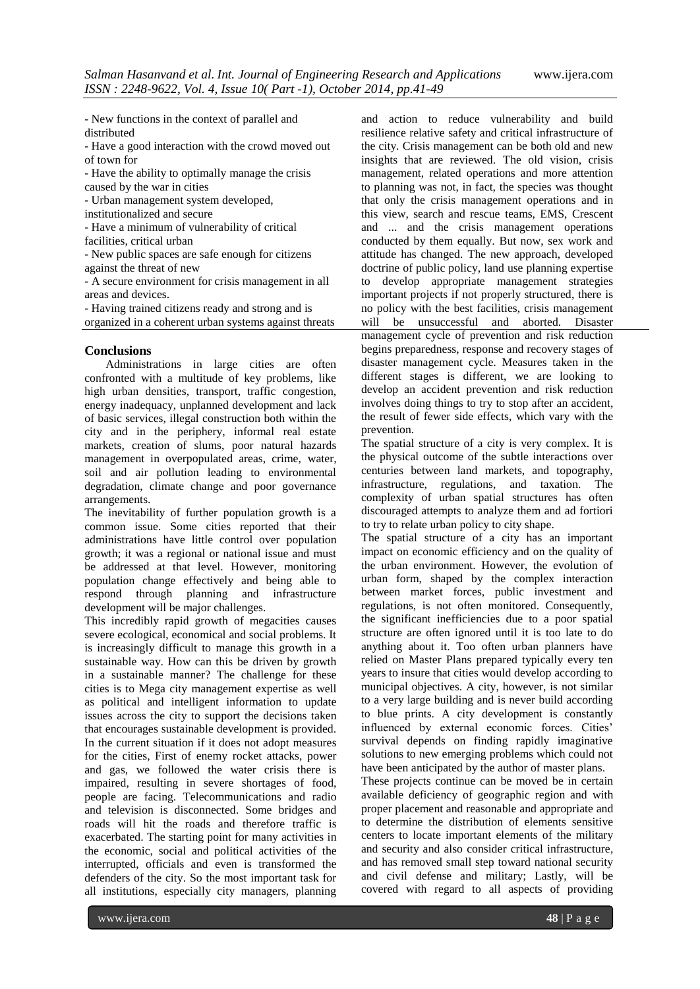- New functions in the context of parallel and distributed

- Have a good interaction with the crowd moved out of town for

- Have the ability to optimally manage the crisis

caused by the war in cities

- Urban management system developed,

institutionalized and secure

- Have a minimum of vulnerability of critical

facilities, critical urban

- New public spaces are safe enough for citizens against the threat of new

- A secure environment for crisis management in all areas and devices.

- Having trained citizens ready and strong and is organized in a coherent urban systems against threats

# **Conclusions**

Administrations in large cities are often confronted with a multitude of key problems, like high urban densities, transport, traffic congestion, energy inadequacy, unplanned development and lack of basic services, illegal construction both within the city and in the periphery, informal real estate markets, creation of slums, poor natural hazards management in overpopulated areas, crime, water, soil and air pollution leading to environmental degradation, climate change and poor governance arrangements.

The inevitability of further population growth is a common issue. Some cities reported that their administrations have little control over population growth; it was a regional or national issue and must be addressed at that level. However, monitoring population change effectively and being able to respond through planning and infrastructure development will be major challenges.

This incredibly rapid growth of megacities causes severe ecological, economical and social problems. It is increasingly difficult to manage this growth in a sustainable way. How can this be driven by growth in a sustainable manner? The challenge for these cities is to Mega city management expertise as well as political and intelligent information to update issues across the city to support the decisions taken that encourages sustainable development is provided. In the current situation if it does not adopt measures for the cities, First of enemy rocket attacks, power and gas, we followed the water crisis there is impaired, resulting in severe shortages of food, people are facing. Telecommunications and radio and television is disconnected. Some bridges and roads will hit the roads and therefore traffic is exacerbated. The starting point for many activities in the economic, social and political activities of the interrupted, officials and even is transformed the defenders of the city. So the most important task for all institutions, especially city managers, planning

and action to reduce vulnerability and build resilience relative safety and critical infrastructure of the city. Crisis management can be both old and new insights that are reviewed. The old vision, crisis management, related operations and more attention to planning was not, in fact, the species was thought that only the crisis management operations and in this view, search and rescue teams, EMS, Crescent and ... and the crisis management operations conducted by them equally. But now, sex work and attitude has changed. The new approach, developed doctrine of public policy, land use planning expertise to develop appropriate management strategies important projects if not properly structured, there is no policy with the best facilities, crisis management will be unsuccessful and aborted. Disaster management cycle of prevention and risk reduction begins preparedness, response and recovery stages of disaster management cycle. Measures taken in the different stages is different, we are looking to develop an accident prevention and risk reduction involves doing things to try to stop after an accident, the result of fewer side effects, which vary with the prevention.

The spatial structure of a city is very complex. It is the physical outcome of the subtle interactions over centuries between land markets, and topography, infrastructure, regulations, and taxation. The complexity of urban spatial structures has often discouraged attempts to analyze them and ad fortiori to try to relate urban policy to city shape.

The spatial structure of a city has an important impact on economic efficiency and on the quality of the urban environment. However, the evolution of urban form, shaped by the complex interaction between market forces, public investment and regulations, is not often monitored. Consequently, the significant inefficiencies due to a poor spatial structure are often ignored until it is too late to do anything about it. Too often urban planners have relied on Master Plans prepared typically every ten years to insure that cities would develop according to municipal objectives. A city, however, is not similar to a very large building and is never build according to blue prints. A city development is constantly influenced by external economic forces. Cities' survival depends on finding rapidly imaginative solutions to new emerging problems which could not have been anticipated by the author of master plans.

These projects continue can be moved be in certain available deficiency of geographic region and with proper placement and reasonable and appropriate and to determine the distribution of elements sensitive centers to locate important elements of the military and security and also consider critical infrastructure, and has removed small step toward national security and civil defense and military; Lastly, will be covered with regard to all aspects of providing